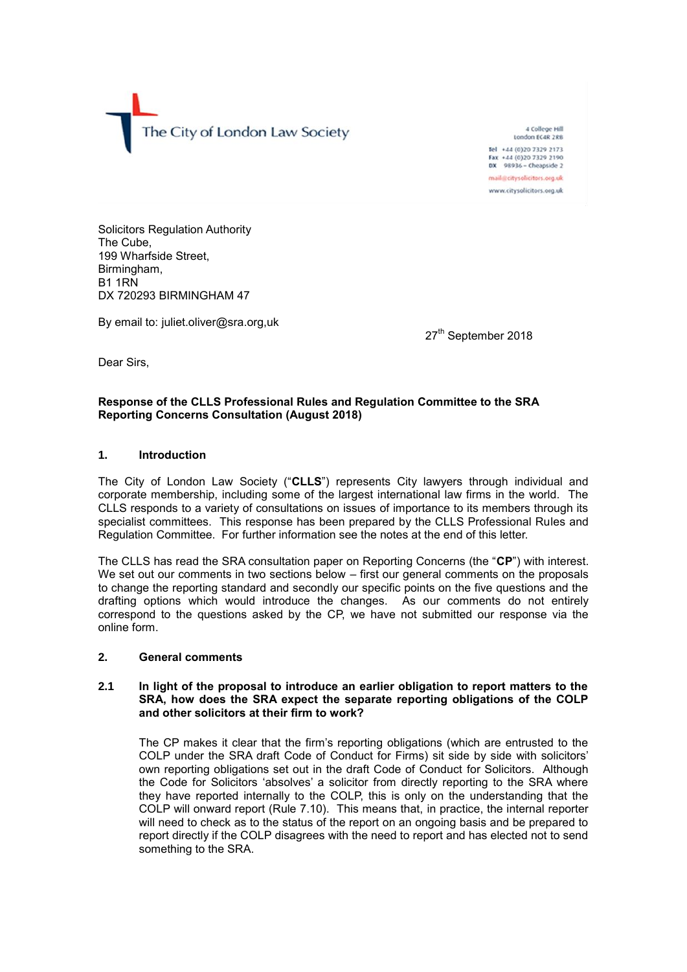The City of London Law Society

A College Hill London ECAR 2RB Tel +44 (0)20 7329 2173 Fax +44 (0)20 7329 2190 **DX** 98936 - Cheapside 2 mail@citysolicitors.org.uk www.citysolicitors.org.uk

Solicitors Regulation Authority The Cube, 199 Wharfside Street, Birmingham, B1 1RN DX 720293 BIRMINGHAM 47

By email to: juliet.oliver@sra.org,uk

27<sup>th</sup> September 2018

Dear Sirs,

## **Response of the CLLS Professional Rules and Regulation Committee to the SRA Reporting Concerns Consultation (August 2018)**

## **1. Introduction**

The City of London Law Society ("**CLLS**") represents City lawyers through individual and corporate membership, including some of the largest international law firms in the world. The CLLS responds to a variety of consultations on issues of importance to its members through its specialist committees. This response has been prepared by the CLLS Professional Rules and Regulation Committee. For further information see the notes at the end of this letter.

The CLLS has read the SRA consultation paper on Reporting Concerns (the "**CP**") with interest. We set out our comments in two sections below – first our general comments on the proposals to change the reporting standard and secondly our specific points on the five questions and the drafting options which would introduce the changes. As our comments do not entirely correspond to the questions asked by the CP, we have not submitted our response via the online form.

#### **2. General comments**

#### **2.1 In light of the proposal to introduce an earlier obligation to report matters to the SRA, how does the SRA expect the separate reporting obligations of the COLP and other solicitors at their firm to work?**

The CP makes it clear that the firm's reporting obligations (which are entrusted to the COLP under the SRA draft Code of Conduct for Firms) sit side by side with solicitors' own reporting obligations set out in the draft Code of Conduct for Solicitors. Although the Code for Solicitors 'absolves' a solicitor from directly reporting to the SRA where they have reported internally to the COLP, this is only on the understanding that the COLP will onward report (Rule 7.10). This means that, in practice, the internal reporter will need to check as to the status of the report on an ongoing basis and be prepared to report directly if the COLP disagrees with the need to report and has elected not to send something to the SRA.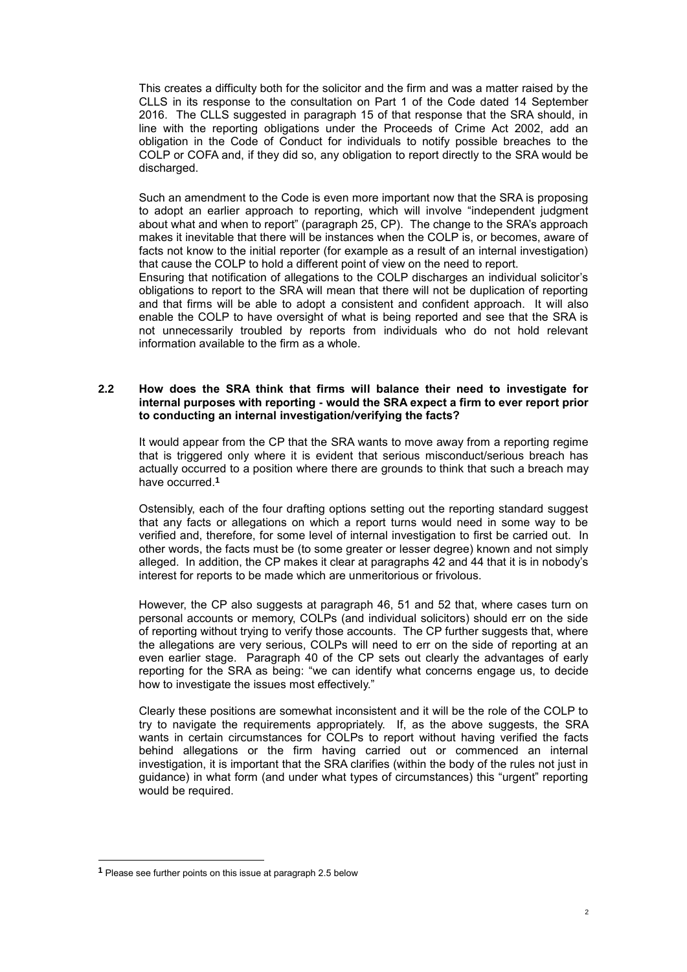This creates a difficulty both for the solicitor and the firm and was a matter raised by the CLLS in its response to the consultation on Part 1 of the Code dated 14 September 2016. The CLLS suggested in paragraph 15 of that response that the SRA should, in line with the reporting obligations under the Proceeds of Crime Act 2002, add an obligation in the Code of Conduct for individuals to notify possible breaches to the COLP or COFA and, if they did so, any obligation to report directly to the SRA would be discharged.

Such an amendment to the Code is even more important now that the SRA is proposing to adopt an earlier approach to reporting, which will involve "independent judgment about what and when to report" (paragraph 25, CP). The change to the SRA's approach makes it inevitable that there will be instances when the COLP is, or becomes, aware of facts not know to the initial reporter (for example as a result of an internal investigation) that cause the COLP to hold a different point of view on the need to report.

Ensuring that notification of allegations to the COLP discharges an individual solicitor's obligations to report to the SRA will mean that there will not be duplication of reporting and that firms will be able to adopt a consistent and confident approach. It will also enable the COLP to have oversight of what is being reported and see that the SRA is not unnecessarily troubled by reports from individuals who do not hold relevant information available to the firm as a whole.

## **2.2 How does the SRA think that firms will balance their need to investigate for internal purposes with reporting - would the SRA expect a firm to ever report prior to conducting an internal investigation/verifying the facts?**

It would appear from the CP that the SRA wants to move away from a reporting regime that is triggered only where it is evident that serious misconduct/serious breach has actually occurred to a position where there are grounds to think that such a breach may have occurred.**<sup>1</sup>**

Ostensibly, each of the four drafting options setting out the reporting standard suggest that any facts or allegations on which a report turns would need in some way to be verified and, therefore, for some level of internal investigation to first be carried out. In other words, the facts must be (to some greater or lesser degree) known and not simply alleged. In addition, the CP makes it clear at paragraphs 42 and 44 that it is in nobody's interest for reports to be made which are unmeritorious or frivolous.

However, the CP also suggests at paragraph 46, 51 and 52 that, where cases turn on personal accounts or memory, COLPs (and individual solicitors) should err on the side of reporting without trying to verify those accounts. The CP further suggests that, where the allegations are very serious, COLPs will need to err on the side of reporting at an even earlier stage. Paragraph 40 of the CP sets out clearly the advantages of early reporting for the SRA as being: "we can identify what concerns engage us, to decide how to investigate the issues most effectively."

Clearly these positions are somewhat inconsistent and it will be the role of the COLP to try to navigate the requirements appropriately. If, as the above suggests, the SRA wants in certain circumstances for COLPs to report without having verified the facts behind allegations or the firm having carried out or commenced an internal investigation, it is important that the SRA clarifies (within the body of the rules not just in guidance) in what form (and under what types of circumstances) this "urgent" reporting would be required.

1

**<sup>1</sup>** Please see further points on this issue at paragraph 2.5 below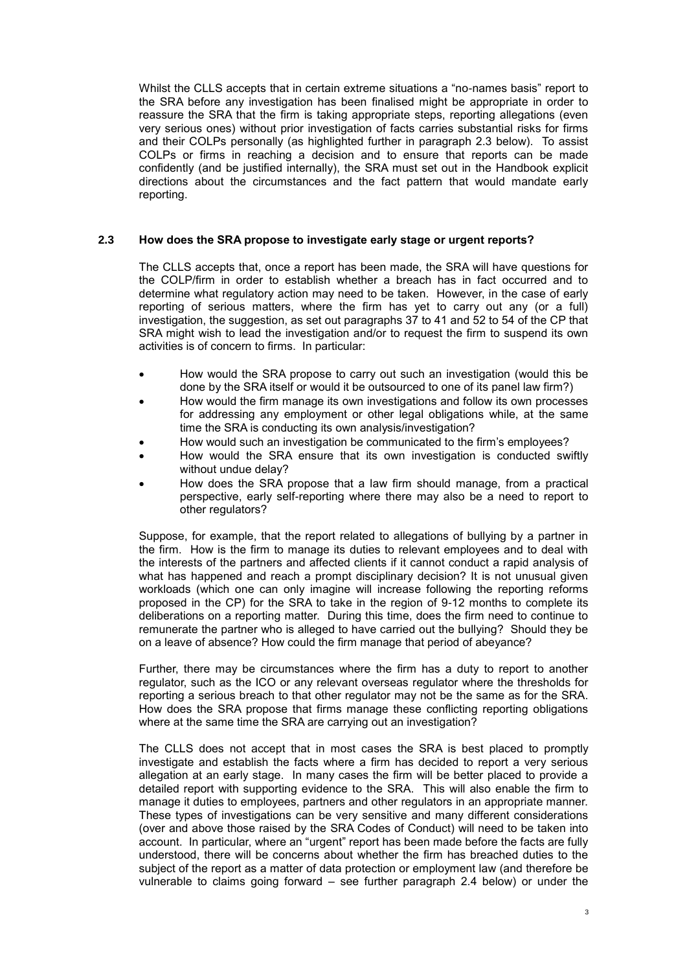Whilst the CLLS accepts that in certain extreme situations a "no-names basis" report to the SRA before any investigation has been finalised might be appropriate in order to reassure the SRA that the firm is taking appropriate steps, reporting allegations (even very serious ones) without prior investigation of facts carries substantial risks for firms and their COLPs personally (as highlighted further in paragraph 2.3 below). To assist COLPs or firms in reaching a decision and to ensure that reports can be made confidently (and be justified internally), the SRA must set out in the Handbook explicit directions about the circumstances and the fact pattern that would mandate early reporting.

## **2.3 How does the SRA propose to investigate early stage or urgent reports?**

The CLLS accepts that, once a report has been made, the SRA will have questions for the COLP/firm in order to establish whether a breach has in fact occurred and to determine what regulatory action may need to be taken. However, in the case of early reporting of serious matters, where the firm has yet to carry out any (or a full) investigation, the suggestion, as set out paragraphs 37 to 41 and 52 to 54 of the CP that SRA might wish to lead the investigation and/or to request the firm to suspend its own activities is of concern to firms. In particular:

- How would the SRA propose to carry out such an investigation (would this be done by the SRA itself or would it be outsourced to one of its panel law firm?)
- How would the firm manage its own investigations and follow its own processes for addressing any employment or other legal obligations while, at the same time the SRA is conducting its own analysis/investigation?
- How would such an investigation be communicated to the firm's employees?
- How would the SRA ensure that its own investigation is conducted swiftly without undue delay?
- How does the SRA propose that a law firm should manage, from a practical perspective, early self-reporting where there may also be a need to report to other regulators?

Suppose, for example, that the report related to allegations of bullying by a partner in the firm. How is the firm to manage its duties to relevant employees and to deal with the interests of the partners and affected clients if it cannot conduct a rapid analysis of what has happened and reach a prompt disciplinary decision? It is not unusual given workloads (which one can only imagine will increase following the reporting reforms proposed in the CP) for the SRA to take in the region of 9-12 months to complete its deliberations on a reporting matter. During this time, does the firm need to continue to remunerate the partner who is alleged to have carried out the bullying? Should they be on a leave of absence? How could the firm manage that period of abeyance?

Further, there may be circumstances where the firm has a duty to report to another regulator, such as the ICO or any relevant overseas regulator where the thresholds for reporting a serious breach to that other regulator may not be the same as for the SRA. How does the SRA propose that firms manage these conflicting reporting obligations where at the same time the SRA are carrying out an investigation?

The CLLS does not accept that in most cases the SRA is best placed to promptly investigate and establish the facts where a firm has decided to report a very serious allegation at an early stage. In many cases the firm will be better placed to provide a detailed report with supporting evidence to the SRA. This will also enable the firm to manage it duties to employees, partners and other regulators in an appropriate manner. These types of investigations can be very sensitive and many different considerations (over and above those raised by the SRA Codes of Conduct) will need to be taken into account. In particular, where an "urgent" report has been made before the facts are fully understood, there will be concerns about whether the firm has breached duties to the subject of the report as a matter of data protection or employment law (and therefore be vulnerable to claims going forward – see further paragraph 2.4 below) or under the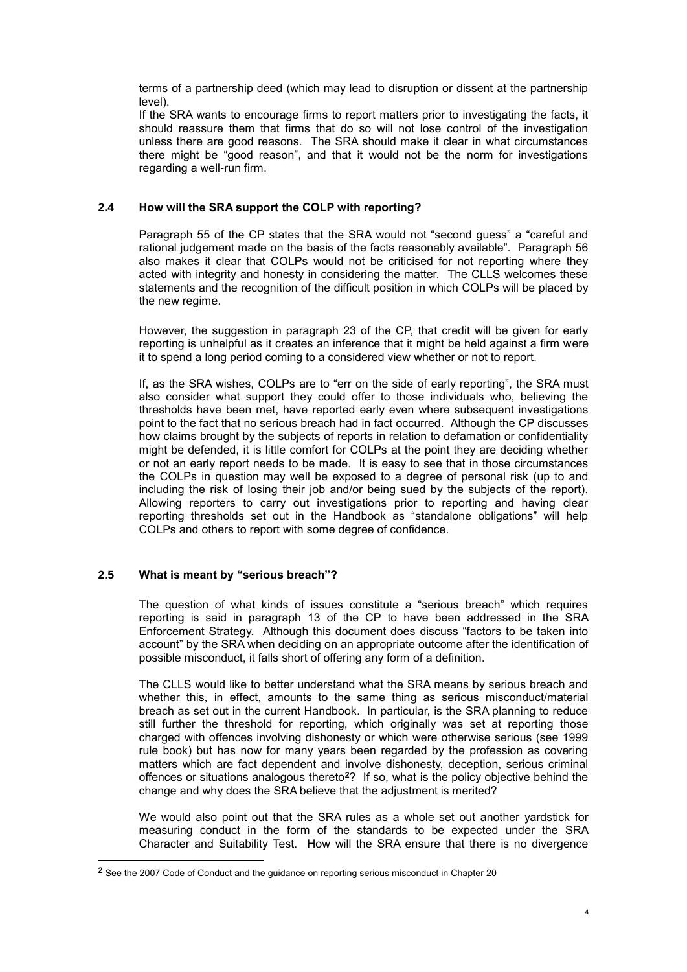terms of a partnership deed (which may lead to disruption or dissent at the partnership level).

If the SRA wants to encourage firms to report matters prior to investigating the facts, it should reassure them that firms that do so will not lose control of the investigation unless there are good reasons. The SRA should make it clear in what circumstances there might be "good reason", and that it would not be the norm for investigations regarding a well-run firm.

# **2.4 How will the SRA support the COLP with reporting?**

Paragraph 55 of the CP states that the SRA would not "second guess" a "careful and rational judgement made on the basis of the facts reasonably available". Paragraph 56 also makes it clear that COLPs would not be criticised for not reporting where they acted with integrity and honesty in considering the matter. The CLLS welcomes these statements and the recognition of the difficult position in which COLPs will be placed by the new regime.

However, the suggestion in paragraph 23 of the CP, that credit will be given for early reporting is unhelpful as it creates an inference that it might be held against a firm were it to spend a long period coming to a considered view whether or not to report.

If, as the SRA wishes, COLPs are to "err on the side of early reporting", the SRA must also consider what support they could offer to those individuals who, believing the thresholds have been met, have reported early even where subsequent investigations point to the fact that no serious breach had in fact occurred. Although the CP discusses how claims brought by the subjects of reports in relation to defamation or confidentiality might be defended, it is little comfort for COLPs at the point they are deciding whether or not an early report needs to be made. It is easy to see that in those circumstances the COLPs in question may well be exposed to a degree of personal risk (up to and including the risk of losing their job and/or being sued by the subjects of the report). Allowing reporters to carry out investigations prior to reporting and having clear reporting thresholds set out in the Handbook as "standalone obligations" will help COLPs and others to report with some degree of confidence.

# **2.5 What is meant by "serious breach"?**

1

The question of what kinds of issues constitute a "serious breach" which requires reporting is said in paragraph 13 of the CP to have been addressed in the SRA Enforcement Strategy. Although this document does discuss "factors to be taken into account" by the SRA when deciding on an appropriate outcome after the identification of possible misconduct, it falls short of offering any form of a definition.

The CLLS would like to better understand what the SRA means by serious breach and whether this, in effect, amounts to the same thing as serious misconduct/material breach as set out in the current Handbook. In particular, is the SRA planning to reduce still further the threshold for reporting, which originally was set at reporting those charged with offences involving dishonesty or which were otherwise serious (see 1999 rule book) but has now for many years been regarded by the profession as covering matters which are fact dependent and involve dishonesty, deception, serious criminal offences or situations analogous thereto**<sup>2</sup>**? If so, what is the policy objective behind the change and why does the SRA believe that the adjustment is merited?

We would also point out that the SRA rules as a whole set out another yardstick for measuring conduct in the form of the standards to be expected under the SRA Character and Suitability Test. How will the SRA ensure that there is no divergence

**<sup>2</sup>** See the 2007 Code of Conduct and the guidance on reporting serious misconduct in Chapter 20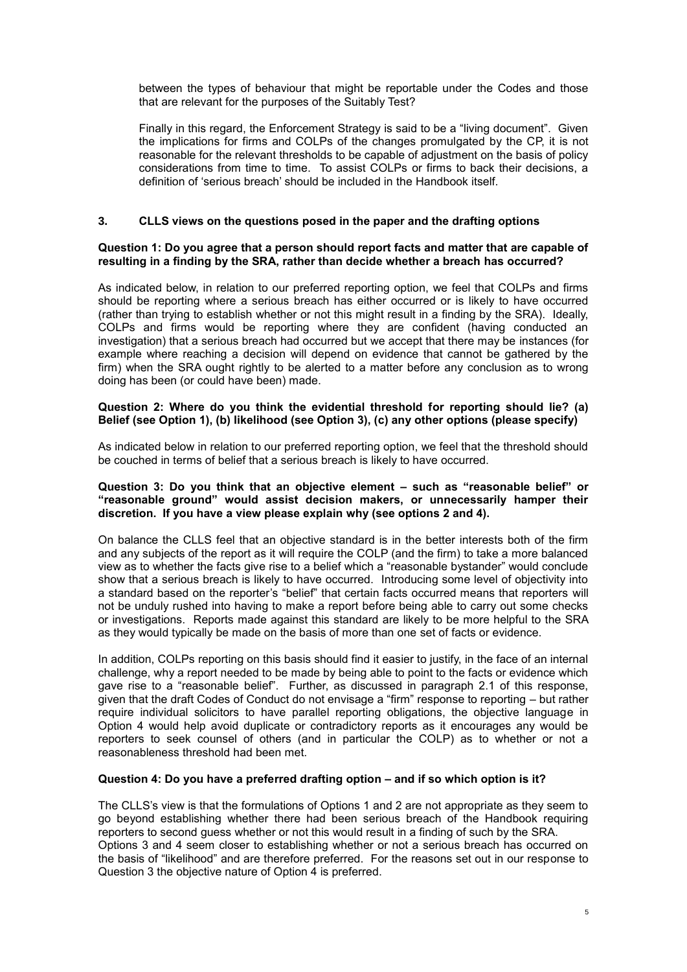between the types of behaviour that might be reportable under the Codes and those that are relevant for the purposes of the Suitably Test?

Finally in this regard, the Enforcement Strategy is said to be a "living document". Given the implications for firms and COLPs of the changes promulgated by the CP, it is not reasonable for the relevant thresholds to be capable of adjustment on the basis of policy considerations from time to time. To assist COLPs or firms to back their decisions, a definition of 'serious breach' should be included in the Handbook itself.

## **3. CLLS views on the questions posed in the paper and the drafting options**

#### **Question 1: Do you agree that a person should report facts and matter that are capable of resulting in a finding by the SRA, rather than decide whether a breach has occurred?**

As indicated below, in relation to our preferred reporting option, we feel that COLPs and firms should be reporting where a serious breach has either occurred or is likely to have occurred (rather than trying to establish whether or not this might result in a finding by the SRA). Ideally, COLPs and firms would be reporting where they are confident (having conducted an investigation) that a serious breach had occurred but we accept that there may be instances (for example where reaching a decision will depend on evidence that cannot be gathered by the firm) when the SRA ought rightly to be alerted to a matter before any conclusion as to wrong doing has been (or could have been) made.

#### **Question 2: Where do you think the evidential threshold for reporting should lie? (a) Belief (see Option 1), (b) likelihood (see Option 3), (c) any other options (please specify)**

As indicated below in relation to our preferred reporting option, we feel that the threshold should be couched in terms of belief that a serious breach is likely to have occurred.

### **Question 3: Do you think that an objective element – such as "reasonable belief" or "reasonable ground" would assist decision makers, or unnecessarily hamper their discretion. If you have a view please explain why (see options 2 and 4).**

On balance the CLLS feel that an objective standard is in the better interests both of the firm and any subjects of the report as it will require the COLP (and the firm) to take a more balanced view as to whether the facts give rise to a belief which a "reasonable bystander" would conclude show that a serious breach is likely to have occurred. Introducing some level of objectivity into a standard based on the reporter's "belief" that certain facts occurred means that reporters will not be unduly rushed into having to make a report before being able to carry out some checks or investigations. Reports made against this standard are likely to be more helpful to the SRA as they would typically be made on the basis of more than one set of facts or evidence.

In addition, COLPs reporting on this basis should find it easier to justify, in the face of an internal challenge, why a report needed to be made by being able to point to the facts or evidence which gave rise to a "reasonable belief". Further, as discussed in paragraph 2.1 of this response, given that the draft Codes of Conduct do not envisage a "firm" response to reporting – but rather require individual solicitors to have parallel reporting obligations, the objective language in Option 4 would help avoid duplicate or contradictory reports as it encourages any would be reporters to seek counsel of others (and in particular the COLP) as to whether or not a reasonableness threshold had been met.

## **Question 4: Do you have a preferred drafting option – and if so which option is it?**

The CLLS's view is that the formulations of Options 1 and 2 are not appropriate as they seem to go beyond establishing whether there had been serious breach of the Handbook requiring reporters to second guess whether or not this would result in a finding of such by the SRA. Options 3 and 4 seem closer to establishing whether or not a serious breach has occurred on the basis of "likelihood" and are therefore preferred. For the reasons set out in our response to Question 3 the objective nature of Option 4 is preferred.